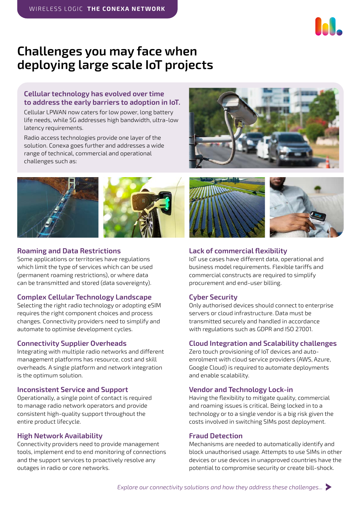

# **Challenges you may face when deploying large scale IoT projects**

#### **Cellular technology has evolved over time to address the early barriers to adoption in IoT.**

Cellular LPWAN now caters for low power, long battery life needs, while 5G addresses high bandwidth, ultra-low latency requirements.

Radio access technologies provide one layer of the solution. Conexa goes further and addresses a wide range of technical, commercial and operational challenges such as:





#### **Roaming and Data Restrictions**

Some applications or territories have regulations which limit the type of services which can be used (permanent roaming restrictions), or where data can be transmitted and stored (data sovereignty).

#### **Complex Cellular Technology Landscape**

Selecting the right radio technology or adopting eSIM requires the right component choices and process changes. Connectivity providers need to simplify and automate to optimise development cycles.

#### **Connectivity Supplier Overheads**

Integrating with multiple radio networks and different management platforms has resource, cost and skill overheads. A single platform and network integration is the optimum solution.

#### **Inconsistent Service and Support**

Operationally, a single point of contact is required to manage radio network operators and provide consistent high-quality support throughout the entire product lifecycle.

#### **High Network Availability**

Connectivity providers need to provide management tools, implement end to end monitoring of connections and the support services to proactively resolve any outages in radio or core networks.



#### **Lack of commercial flexibility**

IoT use cases have different data, operational and business model requirements. Flexible tariffs and commercial constructs are required to simplify procurement and end-user billing.

#### **Cyber Security**

Only authorised devices should connect to enterprise servers or cloud infrastructure. Data must be transmitted securely and handled in accordance with regulations such as GDPR and ISO 27001.

#### **Cloud Integration and Scalability challenges**

Zero touch provisioning of IoT devices and autoenrolment with cloud service providers (AWS, Azure, Google Cloud) is required to automate deployments and enable scalability.

#### **Vendor and Technology Lock-in**

Having the flexibility to mitigate quality, commercial and roaming issues is critical. Being locked in to a technology or to a single vendor is a big risk given the costs involved in switching SIMs post deployment.

#### **Fraud Detection**

Mechanisms are needed to automatically identify and block unauthorised usage. Attempts to use SIMs in other devices or use devices in unapproved countries have the potential to compromise security or create bill-shock.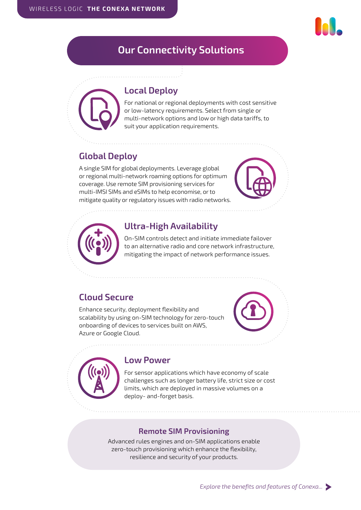# <span id="page-3-0"></span>**Our Connectivity Solutions**

# **Local Deploy**

For national or regional deployments with cost sensitive or low-latency requirements. Select from single or multi-network options and low or high data tariffs, to suit your application requirements.

# **Global Deploy**

A single SIM for global deployments. Leverage global or regional multi-network roaming options for optimum coverage. Use remote SIM provisioning services for multi-IMSI SIMs and eSIMs to help economise, or to mitigate quality or regulatory issues with radio networks.





# **Ultra-High Availability**

On-SIM controls detect and initiate immediate failover to an alternative radio and core network infrastructure, mitigating the impact of network performance issues.

# **Cloud Secure**

Enhance security, deployment flexibility and scalability by using on-SIM technology for zero-touch onboarding of devices to services built on AWS, Azure or Google Cloud.



# **Low Power**

For sensor applications which have economy of scale challenges such as longer battery life, strict size or cost limits, which are deployed in massive volumes on a deploy- and-forget basis.

## **Remote SIM Provisioning**

Advanced rules engines and on-SIM applications enable zero-touch provisioning which enhance the flexibility, resilience and security of your products.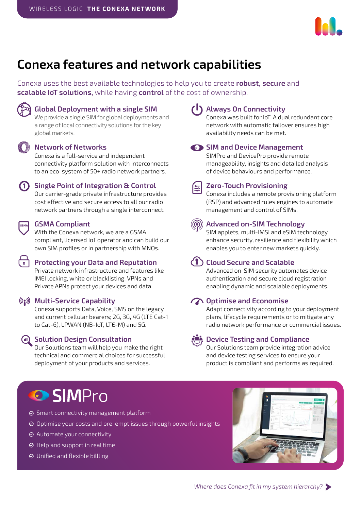

# <span id="page-4-0"></span>**Conexa features and network capabilities**

Conexa uses the best available technologies to help you to create **robust, secure** and **scalable IoT solutions,** while having **control** of the cost of ownership.



### **Global Deployment with a single SIM**

We provide a single SIM for global deployments and a range of local connectivity solutions for the key global markets.

# **Network of Networks**

Conexa is a full-service and independent connectivity platform solution with interconnects to an eco-system of 50+ radio network partners.

#### **Single Point of Integration & Control**

Our carrier-grade private infrastructure provides cost effective and secure access to all our radio network partners through a single interconnect.

#### **GSMA Compliant**

With the Conexa network, we are a GSMA compliant, licensed IoT operator and can build our own SIM profiles or in partnership with MNOs.

#### **Protecting your Data and Reputation**

Private network infrastructure and features like IMEI locking, white or blacklisting, VPNs and Private APNs protect your devices and data.

#### **Multi-Service Capability**

Conexa supports Data, Voice, SMS on the legacy and current cellular bearers; 2G, 3G, 4G (LTE Cat-1 to Cat-6), LPWAN (NB-IoT, LTE-M) and 5G.

#### **Solution Design Consultation**

Our Solutions team will help you make the right technical and commercial choices for successful deployment of your products and services.

욵

**Always On Connectivity** Conexa was built for IoT. A dual redundant core

network with automatic failover ensures high availability needs can be met.

#### **SIM and Device Management**

SIMPro and DevicePro provide remote manageability, insights and detailed analysis of device behaviours and performance.

#### **Zero-Touch Provisioning**

Conexa includes a remote provisioning platform (RSP) and advanced rules engines to automate management and control of SIMs.

#### **Advanced on-SIM Technology**

SIM applets, multi-IMSI and eSIM technology enhance security, resilience and flexibility which enables you to enter new markets quickly.

## **Cloud Secure and Scalable**

Advanced on-SIM security automates device authentication and secure cloud registration enabling dynamic and scalable deployments.

#### **T** Optimise and Economise

Adapt connectivity according to your deployment plans, lifecycle requirements or to mitigate any radio network performance or commercial issues.

#### **Device Testing and Compliance**

Our Solutions team provide integration advice and device testing services to ensure your product is compliant and performs as required.

# **O** SIMPro

- **⊘** Smart connectivity management platform
- Optimise your costs and pre-empt issues through powerful insights
- Automate your connectivity
- $\odot$  Help and support in real time
- Unified and flexible billling

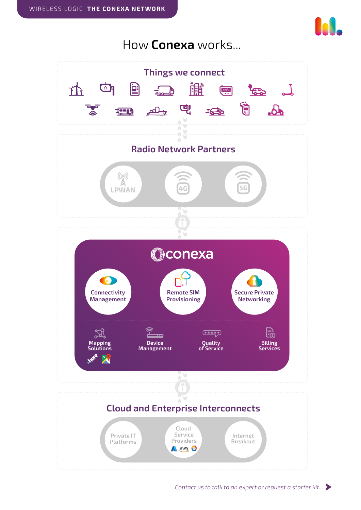

<span id="page-5-0"></span>